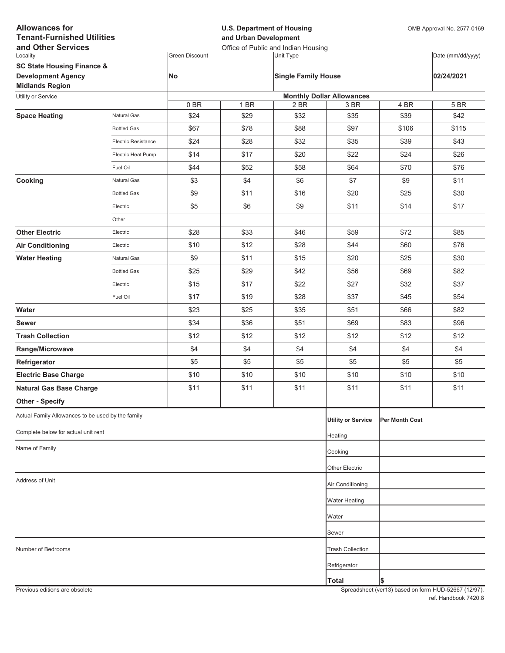| <b>Allowances for</b><br><b>Tenant-Furnished Utilities</b><br>and Other Services |                     |                       | <b>U.S. Department of Housing</b><br>and Urban Development<br>Office of Public and Indian Housing |                            |                                          |                | OMB Approval No. 2577-0169 |  |
|----------------------------------------------------------------------------------|---------------------|-----------------------|---------------------------------------------------------------------------------------------------|----------------------------|------------------------------------------|----------------|----------------------------|--|
| Locality                                                                         |                     | <b>Green Discount</b> |                                                                                                   | <b>Unit Type</b>           |                                          |                | Date (mm/dd/yyyy)          |  |
| <b>SC State Housing Finance &amp;</b>                                            |                     |                       |                                                                                                   |                            |                                          |                |                            |  |
| <b>Development Agency</b>                                                        |                     | <b>No</b>             |                                                                                                   | <b>Single Family House</b> |                                          |                | 02/24/2021                 |  |
| <b>Midlands Region</b>                                                           |                     |                       |                                                                                                   |                            |                                          |                |                            |  |
| Utility or Service                                                               |                     | 0BR                   | 1 BR                                                                                              | 2 BR                       | <b>Monthly Dollar Allowances</b><br>3 BR | 4 BR           | 5 BR                       |  |
| <b>Space Heating</b>                                                             | Natural Gas         | \$24                  | \$29                                                                                              | \$32                       | \$35                                     | \$39           | \$42                       |  |
|                                                                                  | <b>Bottled Gas</b>  | \$67                  | \$78                                                                                              | \$88                       | \$97                                     | \$106          | \$115                      |  |
|                                                                                  | Electric Resistance | \$24                  | \$28                                                                                              | \$32                       | \$35                                     | \$39           | \$43                       |  |
|                                                                                  | Electric Heat Pump  | \$14                  | \$17                                                                                              | \$20                       | \$22                                     | \$24           | \$26                       |  |
|                                                                                  | Fuel Oil            | \$44                  | \$52                                                                                              | \$58                       | \$64                                     | \$70           | \$76                       |  |
| Cooking                                                                          | Natural Gas         | \$3                   | \$4                                                                                               | \$6                        | \$7                                      | \$9            | \$11                       |  |
|                                                                                  | <b>Bottled Gas</b>  | \$9                   | \$11                                                                                              | \$16                       | \$20                                     | \$25           | \$30                       |  |
|                                                                                  | Electric            | \$5                   | \$6                                                                                               | \$9                        | \$11                                     | \$14           | \$17                       |  |
|                                                                                  | Other               |                       |                                                                                                   |                            |                                          |                |                            |  |
| <b>Other Electric</b>                                                            | Electric            | \$28                  | \$33                                                                                              | \$46                       | \$59                                     | \$72           | \$85                       |  |
| <b>Air Conditioning</b>                                                          | Electric            | \$10                  | \$12                                                                                              | \$28                       | \$44                                     | \$60           | \$76                       |  |
| <b>Water Heating</b>                                                             | Natural Gas         | \$9                   | \$11                                                                                              | \$15                       | \$20                                     | \$25           | \$30                       |  |
|                                                                                  | <b>Bottled Gas</b>  | \$25                  | \$29                                                                                              | \$42                       | \$56                                     | \$69           | \$82                       |  |
|                                                                                  | Electric            | \$15                  | \$17                                                                                              | \$22                       | \$27                                     | \$32           | \$37                       |  |
|                                                                                  | Fuel Oil            | \$17                  | \$19                                                                                              | \$28                       | \$37                                     | \$45           | \$54                       |  |
| Water                                                                            |                     | \$23                  | \$25                                                                                              | \$35                       | \$51                                     | \$66           | \$82                       |  |
| <b>Sewer</b>                                                                     |                     | \$34                  | \$36                                                                                              | \$51                       | \$69                                     | \$83           | \$96                       |  |
| <b>Trash Collection</b>                                                          |                     | \$12                  | \$12                                                                                              | \$12                       | \$12                                     | \$12           | \$12                       |  |
| Range/Microwave                                                                  |                     | \$4                   | \$4                                                                                               | \$4                        | \$4                                      | \$4            | \$4                        |  |
| Refrigerator                                                                     |                     | \$5                   | \$5                                                                                               | \$5                        | \$5                                      | \$5            | \$5                        |  |
| <b>Electric Base Charge</b>                                                      |                     | \$10                  | \$10                                                                                              | \$10                       | \$10                                     | \$10           | \$10                       |  |
| <b>Natural Gas Base Charge</b>                                                   |                     | \$11                  | \$11                                                                                              | \$11                       | \$11                                     | \$11           | \$11                       |  |
| <b>Other - Specify</b>                                                           |                     |                       |                                                                                                   |                            |                                          |                |                            |  |
| Actual Family Allowances to be used by the family                                |                     |                       |                                                                                                   |                            | <b>Utility or Service</b>                | Per Month Cost |                            |  |
| Complete below for actual unit rent                                              |                     |                       |                                                                                                   |                            | Heating                                  |                |                            |  |
| Name of Family                                                                   |                     |                       |                                                                                                   |                            | Cooking                                  |                |                            |  |
|                                                                                  |                     |                       |                                                                                                   |                            |                                          |                |                            |  |
|                                                                                  |                     |                       |                                                                                                   |                            | Other Electric                           |                |                            |  |
| Address of Unit                                                                  |                     |                       |                                                                                                   |                            | Air Conditioning                         |                |                            |  |
|                                                                                  |                     |                       |                                                                                                   |                            | <b>Water Heating</b>                     |                |                            |  |
|                                                                                  |                     |                       |                                                                                                   |                            | Water                                    |                |                            |  |
|                                                                                  |                     |                       |                                                                                                   |                            | Sewer                                    |                |                            |  |
| Number of Bedrooms                                                               |                     |                       |                                                                                                   |                            | <b>Trash Collection</b>                  |                |                            |  |
|                                                                                  |                     |                       |                                                                                                   |                            | Refrigerator                             |                |                            |  |
|                                                                                  |                     |                       |                                                                                                   |                            | <b>Total</b>                             | \$             |                            |  |
|                                                                                  |                     |                       |                                                                                                   |                            |                                          |                |                            |  |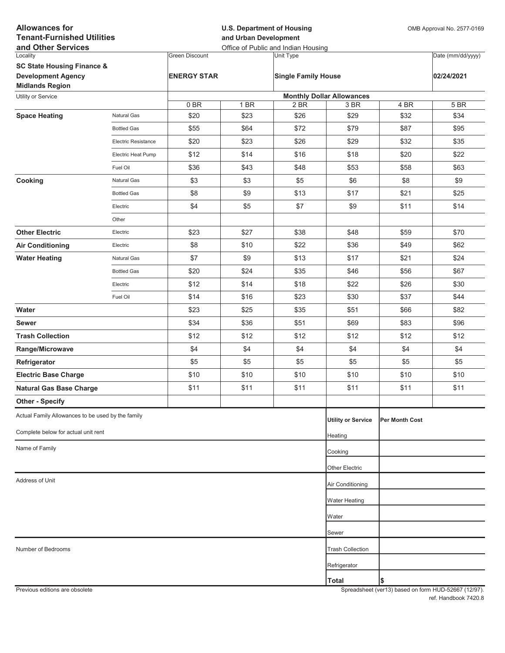| <b>Allowances for</b><br><b>Tenant-Furnished Utilities</b><br>and Other Services |                     |                       | <b>U.S. Department of Housing</b><br>and Urban Development<br>Office of Public and Indian Housing |                                  |                           |                | OMB Approval No. 2577-0169 |  |
|----------------------------------------------------------------------------------|---------------------|-----------------------|---------------------------------------------------------------------------------------------------|----------------------------------|---------------------------|----------------|----------------------------|--|
| Locality                                                                         |                     | <b>Green Discount</b> |                                                                                                   | Unit Type                        |                           |                | Date (mm/dd/yyyy)          |  |
| <b>SC State Housing Finance &amp;</b>                                            |                     |                       |                                                                                                   |                                  |                           |                |                            |  |
| <b>Development Agency</b>                                                        |                     | <b>ENERGY STAR</b>    |                                                                                                   | <b>Single Family House</b>       |                           |                | 02/24/2021                 |  |
| <b>Midlands Region</b><br>Utility or Service                                     |                     |                       |                                                                                                   | <b>Monthly Dollar Allowances</b> |                           |                |                            |  |
|                                                                                  |                     | 0BR                   | 1 BR                                                                                              | 2 BR                             | 3 BR                      | 4 BR           | 5 BR                       |  |
| <b>Space Heating</b>                                                             | Natural Gas         | \$20                  | \$23                                                                                              | \$26                             | \$29                      | \$32           | \$34                       |  |
|                                                                                  | <b>Bottled Gas</b>  | \$55                  | \$64                                                                                              | \$72                             | \$79                      | \$87           | \$95                       |  |
|                                                                                  | Electric Resistance | \$20                  | \$23                                                                                              | \$26                             | \$29                      | \$32           | \$35                       |  |
|                                                                                  | Electric Heat Pump  | \$12                  | \$14                                                                                              | \$16                             | \$18                      | \$20           | \$22                       |  |
|                                                                                  | Fuel Oil            | \$36                  | \$43                                                                                              | \$48                             | \$53                      | \$58           | \$63                       |  |
| Cooking                                                                          | Natural Gas         | \$3                   | \$3                                                                                               | \$5                              | \$6                       | \$8            | \$9                        |  |
|                                                                                  | <b>Bottled Gas</b>  | \$8                   | \$9                                                                                               | \$13                             | \$17                      | \$21           | \$25                       |  |
|                                                                                  | Electric            | \$4                   | \$5                                                                                               | \$7                              | \$9                       | \$11           | \$14                       |  |
|                                                                                  | Other               |                       |                                                                                                   |                                  |                           |                |                            |  |
| <b>Other Electric</b>                                                            | Electric            | \$23                  | \$27                                                                                              | \$38                             | \$48                      | \$59           | \$70                       |  |
| <b>Air Conditioning</b>                                                          | Electric            | \$8                   | \$10                                                                                              | \$22                             | \$36                      | \$49           | \$62                       |  |
| <b>Water Heating</b>                                                             | Natural Gas         | \$7                   | \$9                                                                                               | \$13                             | \$17                      | \$21           | \$24                       |  |
|                                                                                  | <b>Bottled Gas</b>  | \$20                  | \$24                                                                                              | \$35                             | \$46                      | \$56           | \$67                       |  |
|                                                                                  | Electric            | \$12                  | \$14                                                                                              | \$18                             | \$22                      | \$26           | \$30                       |  |
|                                                                                  | Fuel Oil            | \$14                  | \$16                                                                                              | \$23                             | \$30                      | \$37           | \$44                       |  |
| Water                                                                            |                     | \$23                  | \$25                                                                                              | \$35                             | \$51                      | \$66           | \$82                       |  |
| <b>Sewer</b>                                                                     |                     | \$34                  | \$36                                                                                              | \$51                             | \$69                      | \$83           | \$96                       |  |
| <b>Trash Collection</b>                                                          |                     | \$12                  | \$12                                                                                              | \$12                             | \$12                      | \$12           | \$12                       |  |
| Range/Microwave                                                                  |                     | \$4                   | \$4                                                                                               | \$4                              | \$4                       | \$4            | \$4                        |  |
| Refrigerator                                                                     |                     | \$5                   | \$5                                                                                               | \$5                              | \$5                       | \$5            | \$5                        |  |
| <b>Electric Base Charge</b>                                                      |                     | \$10                  | \$10                                                                                              | \$10                             | \$10                      | \$10           | \$10                       |  |
| <b>Natural Gas Base Charge</b>                                                   |                     | \$11                  | \$11                                                                                              | \$11                             | \$11                      | \$11           | \$11                       |  |
| <b>Other - Specify</b>                                                           |                     |                       |                                                                                                   |                                  |                           |                |                            |  |
| Actual Family Allowances to be used by the family                                |                     |                       |                                                                                                   |                                  | <b>Utility or Service</b> | Per Month Cost |                            |  |
| Complete below for actual unit rent                                              |                     |                       |                                                                                                   |                                  | Heating                   |                |                            |  |
| Name of Family                                                                   |                     |                       |                                                                                                   |                                  | Cooking                   |                |                            |  |
|                                                                                  |                     |                       |                                                                                                   |                                  | Other Electric            |                |                            |  |
| Address of Unit                                                                  |                     |                       |                                                                                                   |                                  |                           |                |                            |  |
|                                                                                  |                     |                       |                                                                                                   |                                  | Air Conditioning          |                |                            |  |
|                                                                                  |                     |                       |                                                                                                   |                                  | Water Heating             |                |                            |  |
|                                                                                  |                     |                       |                                                                                                   |                                  | Water                     |                |                            |  |
|                                                                                  |                     |                       |                                                                                                   |                                  | Sewer                     |                |                            |  |
| Number of Bedrooms                                                               |                     |                       |                                                                                                   |                                  | <b>Trash Collection</b>   |                |                            |  |
|                                                                                  |                     |                       |                                                                                                   |                                  | Refrigerator              |                |                            |  |
|                                                                                  |                     |                       |                                                                                                   |                                  | <b>Total</b>              | \$             |                            |  |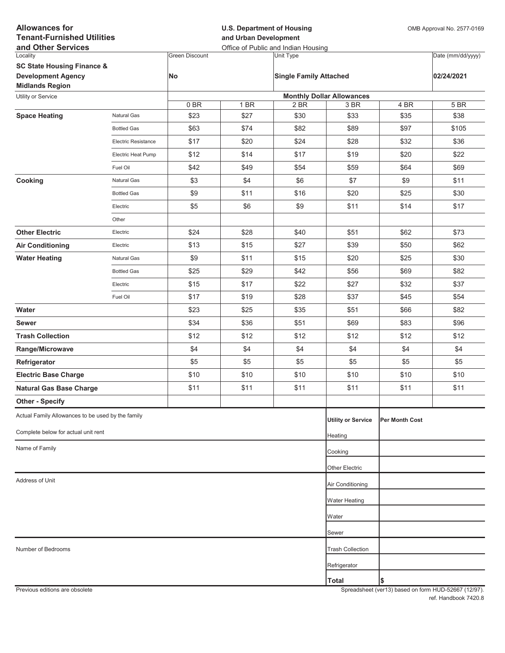| <b>Allowances for</b><br><b>Tenant-Furnished Utilities</b><br>and Other Services |                     |                       | <b>U.S. Department of Housing</b><br>and Urban Development<br>Office of Public and Indian Housing |                               |                                          |                | OMB Approval No. 2577-0169 |  |
|----------------------------------------------------------------------------------|---------------------|-----------------------|---------------------------------------------------------------------------------------------------|-------------------------------|------------------------------------------|----------------|----------------------------|--|
| Locality                                                                         |                     | <b>Green Discount</b> |                                                                                                   | <b>Unit Type</b>              |                                          |                | Date (mm/dd/yyyy)          |  |
| <b>SC State Housing Finance &amp;</b>                                            |                     |                       |                                                                                                   |                               |                                          |                |                            |  |
| <b>Development Agency</b>                                                        |                     | <b>No</b>             |                                                                                                   | <b>Single Family Attached</b> |                                          |                | 02/24/2021                 |  |
| <b>Midlands Region</b>                                                           |                     |                       |                                                                                                   |                               |                                          |                |                            |  |
| Utility or Service                                                               |                     | 0B                    | 1 BR                                                                                              | 2 BR                          | <b>Monthly Dollar Allowances</b><br>3 BR | 4 BR           | 5 BR                       |  |
| <b>Space Heating</b>                                                             | Natural Gas         | \$23                  | \$27                                                                                              | \$30                          | \$33                                     | \$35           | \$38                       |  |
|                                                                                  | <b>Bottled Gas</b>  | \$63                  | \$74                                                                                              | \$82                          | \$89                                     | \$97           | \$105                      |  |
|                                                                                  | Electric Resistance | \$17                  | \$20                                                                                              | \$24                          | \$28                                     | \$32           | \$36                       |  |
|                                                                                  | Electric Heat Pump  | \$12                  | \$14                                                                                              | \$17                          | \$19                                     | \$20           | \$22                       |  |
|                                                                                  | Fuel Oil            | \$42                  | \$49                                                                                              | \$54                          | \$59                                     | \$64           | \$69                       |  |
| Cooking                                                                          | Natural Gas         | \$3                   | \$4                                                                                               | \$6                           | \$7                                      | \$9            | \$11                       |  |
|                                                                                  | <b>Bottled Gas</b>  | \$9                   | \$11                                                                                              | \$16                          | \$20                                     | \$25           | \$30                       |  |
|                                                                                  | Electric            | \$5                   | \$6                                                                                               | \$9                           | \$11                                     | \$14           | \$17                       |  |
|                                                                                  | Other               |                       |                                                                                                   |                               |                                          |                |                            |  |
| <b>Other Electric</b>                                                            | Electric            | \$24                  | \$28                                                                                              | \$40                          | \$51                                     | \$62           | \$73                       |  |
| <b>Air Conditioning</b>                                                          | Electric            | \$13                  | \$15                                                                                              | \$27                          | \$39                                     | \$50           | \$62                       |  |
| <b>Water Heating</b>                                                             | Natural Gas         | \$9                   | \$11                                                                                              | \$15                          | \$20                                     | \$25           | \$30                       |  |
|                                                                                  | <b>Bottled Gas</b>  | \$25                  | \$29                                                                                              | \$42                          | \$56                                     | \$69           | \$82                       |  |
|                                                                                  | Electric            | \$15                  | \$17                                                                                              | \$22                          | \$27                                     | \$32           | \$37                       |  |
|                                                                                  | Fuel Oil            | \$17                  | \$19                                                                                              | \$28                          | \$37                                     | \$45           | \$54                       |  |
| Water                                                                            |                     | \$23                  | \$25                                                                                              | \$35                          | \$51                                     | \$66           | \$82                       |  |
| <b>Sewer</b>                                                                     |                     | \$34                  | \$36                                                                                              | \$51                          | \$69                                     | \$83           | \$96                       |  |
| <b>Trash Collection</b>                                                          |                     | \$12                  | \$12                                                                                              | \$12                          | \$12                                     | \$12           | \$12                       |  |
| Range/Microwave                                                                  |                     | \$4                   | \$4                                                                                               | \$4                           | \$4                                      | \$4            | \$4                        |  |
| Refrigerator                                                                     |                     | \$5                   | \$5                                                                                               | \$5                           | \$5                                      | \$5            | \$5                        |  |
| <b>Electric Base Charge</b>                                                      |                     | \$10                  | \$10                                                                                              | \$10                          | \$10                                     | \$10           | \$10                       |  |
| <b>Natural Gas Base Charge</b>                                                   |                     | \$11                  | \$11                                                                                              | \$11                          | \$11                                     | \$11           | \$11                       |  |
| <b>Other - Specify</b>                                                           |                     |                       |                                                                                                   |                               |                                          |                |                            |  |
| Actual Family Allowances to be used by the family                                |                     |                       |                                                                                                   |                               | <b>Utility or Service</b>                | Per Month Cost |                            |  |
| Complete below for actual unit rent                                              |                     |                       |                                                                                                   |                               | Heating                                  |                |                            |  |
| Name of Family                                                                   |                     |                       |                                                                                                   |                               | Cooking                                  |                |                            |  |
|                                                                                  |                     |                       |                                                                                                   |                               |                                          |                |                            |  |
| Address of Unit                                                                  |                     |                       |                                                                                                   |                               | Other Electric                           |                |                            |  |
|                                                                                  |                     |                       |                                                                                                   |                               | Air Conditioning                         |                |                            |  |
|                                                                                  |                     |                       |                                                                                                   |                               | <b>Water Heating</b>                     |                |                            |  |
|                                                                                  |                     |                       |                                                                                                   |                               | Water                                    |                |                            |  |
|                                                                                  |                     |                       |                                                                                                   |                               | Sewer                                    |                |                            |  |
| Number of Bedrooms                                                               |                     |                       |                                                                                                   |                               | <b>Trash Collection</b>                  |                |                            |  |
|                                                                                  |                     |                       |                                                                                                   |                               | Refrigerator                             |                |                            |  |
|                                                                                  |                     |                       |                                                                                                   |                               | <b>Total</b>                             | \$             |                            |  |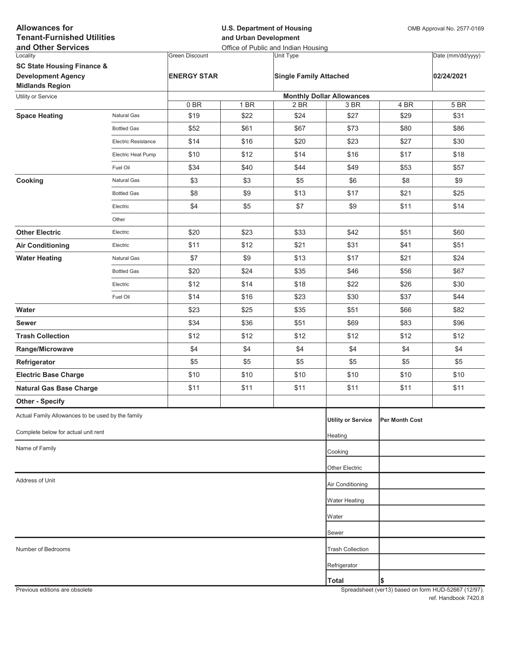| <b>Allowances for</b><br><b>Tenant-Furnished Utilities</b><br>and Other Services |                     |                       | <b>U.S. Department of Housing</b><br>and Urban Development<br>Office of Public and Indian Housing |                               |                                  |                | OMB Approval No. 2577-0169 |  |
|----------------------------------------------------------------------------------|---------------------|-----------------------|---------------------------------------------------------------------------------------------------|-------------------------------|----------------------------------|----------------|----------------------------|--|
| Locality                                                                         |                     | <b>Green Discount</b> |                                                                                                   | Unit Type                     |                                  |                | Date (mm/dd/yyyy)          |  |
| <b>SC State Housing Finance &amp;</b>                                            |                     |                       |                                                                                                   |                               |                                  |                |                            |  |
| <b>Development Agency</b>                                                        |                     | <b>ENERGY STAR</b>    |                                                                                                   | <b>Single Family Attached</b> |                                  |                | 02/24/2021                 |  |
| <b>Midlands Region</b>                                                           |                     |                       |                                                                                                   |                               | <b>Monthly Dollar Allowances</b> |                |                            |  |
| Utility or Service                                                               |                     | 0BR                   | 1 BR                                                                                              | 2 BR                          | 3 BR                             | 4 BR           | 5 BR                       |  |
| <b>Space Heating</b>                                                             | Natural Gas         | \$19                  | \$22                                                                                              | \$24                          | \$27                             | \$29           | \$31                       |  |
|                                                                                  | <b>Bottled Gas</b>  | \$52                  | \$61                                                                                              | \$67                          | \$73                             | \$80           | \$86                       |  |
|                                                                                  | Electric Resistance | \$14                  | \$16                                                                                              | \$20                          | \$23                             | \$27           | \$30                       |  |
|                                                                                  | Electric Heat Pump  | \$10                  | \$12                                                                                              | \$14                          | \$16                             | \$17           | \$18                       |  |
|                                                                                  | Fuel Oil            | \$34                  | \$40                                                                                              | \$44                          | \$49                             | \$53           | \$57                       |  |
| Cooking                                                                          | Natural Gas         | \$3                   | \$3                                                                                               | \$5                           | \$6                              | \$8            | \$9                        |  |
|                                                                                  | <b>Bottled Gas</b>  | \$8                   | \$9                                                                                               | \$13                          | \$17                             | \$21           | \$25                       |  |
|                                                                                  | Electric            | \$4                   | \$5                                                                                               | \$7                           | \$9                              | \$11           | \$14                       |  |
|                                                                                  | Other               |                       |                                                                                                   |                               |                                  |                |                            |  |
| <b>Other Electric</b>                                                            | Electric            | \$20                  | \$23                                                                                              | \$33                          | \$42                             | \$51           | \$60                       |  |
| <b>Air Conditioning</b>                                                          | Electric            | \$11                  | \$12                                                                                              | \$21                          | \$31                             | \$41           | \$51                       |  |
| <b>Water Heating</b>                                                             | Natural Gas         | \$7                   | \$9                                                                                               | \$13                          | \$17                             | \$21           | \$24                       |  |
|                                                                                  | <b>Bottled Gas</b>  | \$20                  | \$24                                                                                              | \$35                          | \$46                             | \$56           | \$67                       |  |
|                                                                                  | Electric            | \$12                  | \$14                                                                                              | \$18                          | \$22                             | \$26           | \$30                       |  |
|                                                                                  | Fuel Oil            | \$14                  | \$16                                                                                              | \$23                          | \$30                             | \$37           | \$44                       |  |
| Water                                                                            |                     | \$23                  | \$25                                                                                              | \$35                          | \$51                             | \$66           | \$82                       |  |
| <b>Sewer</b>                                                                     |                     | \$34                  | \$36                                                                                              | \$51                          | \$69                             | \$83           | \$96                       |  |
| <b>Trash Collection</b>                                                          |                     | \$12                  | \$12                                                                                              | \$12                          | \$12                             | \$12           | \$12                       |  |
| Range/Microwave                                                                  |                     | \$4                   | \$4                                                                                               | \$4                           | \$4                              | \$4            | \$4                        |  |
| Refrigerator                                                                     |                     | \$5                   | \$5                                                                                               | \$5                           | \$5                              | \$5            | \$5                        |  |
| <b>Electric Base Charge</b>                                                      |                     | \$10                  | \$10                                                                                              | \$10                          | \$10                             | \$10           | \$10                       |  |
| <b>Natural Gas Base Charge</b>                                                   |                     | \$11                  | \$11                                                                                              | \$11                          | \$11                             | \$11           | \$11                       |  |
| <b>Other - Specify</b>                                                           |                     |                       |                                                                                                   |                               |                                  |                |                            |  |
| Actual Family Allowances to be used by the family                                |                     |                       |                                                                                                   |                               | <b>Utility or Service</b>        | Per Month Cost |                            |  |
| Complete below for actual unit rent                                              |                     |                       |                                                                                                   |                               | Heating                          |                |                            |  |
| Name of Family                                                                   |                     |                       |                                                                                                   |                               | Cooking                          |                |                            |  |
|                                                                                  |                     |                       |                                                                                                   |                               |                                  |                |                            |  |
|                                                                                  |                     |                       |                                                                                                   |                               | Other Electric                   |                |                            |  |
| Address of Unit                                                                  |                     |                       |                                                                                                   |                               | Air Conditioning                 |                |                            |  |
|                                                                                  |                     |                       |                                                                                                   |                               | Water Heating                    |                |                            |  |
|                                                                                  |                     |                       |                                                                                                   |                               | Water                            |                |                            |  |
|                                                                                  |                     |                       |                                                                                                   |                               | Sewer                            |                |                            |  |
| Number of Bedrooms                                                               |                     |                       |                                                                                                   |                               | <b>Trash Collection</b>          |                |                            |  |
|                                                                                  |                     |                       |                                                                                                   |                               | Refrigerator                     |                |                            |  |
|                                                                                  |                     |                       |                                                                                                   |                               | <b>Total</b>                     | \$             |                            |  |
|                                                                                  |                     |                       |                                                                                                   |                               |                                  |                |                            |  |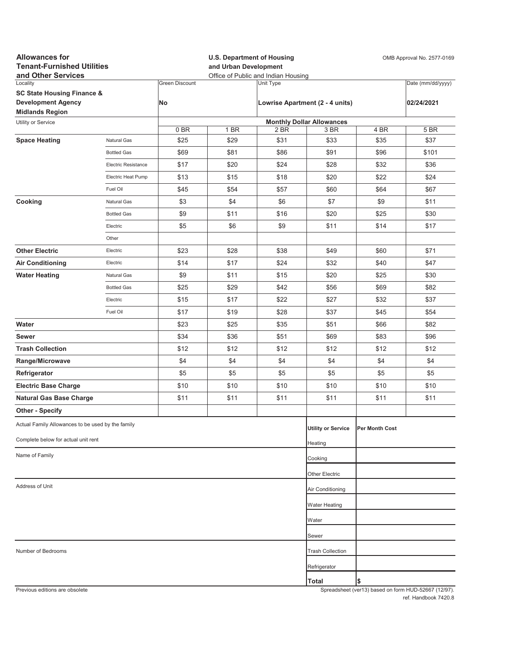| <b>Allowances for</b><br><b>Tenant-Furnished Utilities</b><br>and Other Services |                     | <b>U.S. Department of Housing</b><br>and Urban Development<br>Office of Public and Indian Housing |      |           |                                  | OMB Approval No. 2577-0169 |                                                     |  |
|----------------------------------------------------------------------------------|---------------------|---------------------------------------------------------------------------------------------------|------|-----------|----------------------------------|----------------------------|-----------------------------------------------------|--|
| Locality                                                                         |                     | <b>Green Discount</b>                                                                             |      | Unit Type |                                  |                            | Date (mm/dd/yyyy)                                   |  |
| <b>SC State Housing Finance &amp;</b>                                            |                     |                                                                                                   |      |           |                                  |                            |                                                     |  |
| <b>Development Agency</b><br><b>Midlands Region</b>                              |                     | No                                                                                                |      |           | Lowrise Apartment (2 - 4 units)  |                            | 02/24/2021                                          |  |
| Utility or Service                                                               |                     |                                                                                                   |      |           | <b>Monthly Dollar Allowances</b> |                            |                                                     |  |
|                                                                                  |                     | 0BR                                                                                               | 1 BR | 2 BR      | 3 BR                             | 4 BR                       | <b>5 BR</b>                                         |  |
| <b>Space Heating</b>                                                             | Natural Gas         | \$25                                                                                              | \$29 | \$31      | \$33                             | \$35                       | \$37                                                |  |
|                                                                                  | <b>Bottled Gas</b>  | \$69                                                                                              | \$81 | \$86      | \$91                             | \$96                       | \$101                                               |  |
|                                                                                  | Electric Resistance | \$17                                                                                              | \$20 | \$24      | \$28                             | \$32                       | \$36                                                |  |
|                                                                                  | Electric Heat Pump  | \$13                                                                                              | \$15 | \$18      | \$20                             | \$22                       | \$24                                                |  |
|                                                                                  | Fuel Oil            | \$45                                                                                              | \$54 | \$57      | \$60                             | \$64                       | \$67                                                |  |
| Cooking                                                                          | Natural Gas         | \$3                                                                                               | \$4  | \$6       | \$7                              | \$9                        | \$11                                                |  |
|                                                                                  | <b>Bottled Gas</b>  | \$9                                                                                               | \$11 | \$16      | \$20                             | \$25                       | \$30                                                |  |
|                                                                                  | Electric            | \$5                                                                                               | \$6  | \$9       | \$11                             | \$14                       | \$17                                                |  |
|                                                                                  | Other               |                                                                                                   |      |           |                                  |                            |                                                     |  |
| <b>Other Electric</b>                                                            | Electric            | \$23                                                                                              | \$28 | \$38      | \$49                             | \$60                       | \$71                                                |  |
| <b>Air Conditioning</b>                                                          | Electric            | \$14                                                                                              | \$17 | \$24      | \$32                             | \$40                       | \$47                                                |  |
| <b>Water Heating</b>                                                             | Natural Gas         | \$9                                                                                               | \$11 | \$15      | \$20                             | \$25                       | \$30                                                |  |
|                                                                                  | <b>Bottled Gas</b>  | \$25                                                                                              | \$29 | \$42      | \$56                             | \$69                       | \$82                                                |  |
|                                                                                  | Electric            | \$15                                                                                              | \$17 | \$22      | \$27                             | \$32                       | \$37                                                |  |
|                                                                                  | Fuel Oil            | \$17                                                                                              | \$19 | \$28      | \$37                             | \$45                       | \$54                                                |  |
| Water                                                                            |                     | \$23                                                                                              | \$25 | \$35      | \$51                             | \$66                       | \$82                                                |  |
| Sewer                                                                            |                     | \$34                                                                                              | \$36 | \$51      | \$69                             | \$83                       | \$96                                                |  |
| <b>Trash Collection</b>                                                          |                     | \$12                                                                                              | \$12 | \$12      | \$12                             | \$12                       | \$12                                                |  |
| Range/Microwave                                                                  |                     | \$4                                                                                               | \$4  | \$4       | \$4                              | \$4                        | \$4                                                 |  |
| Refrigerator                                                                     |                     | \$5                                                                                               | \$5  | \$5       | \$5                              | \$5                        | \$5                                                 |  |
| <b>Electric Base Charge</b>                                                      |                     | \$10                                                                                              | \$10 | \$10      | \$10                             | \$10                       | \$10                                                |  |
| <b>Natural Gas Base Charge</b>                                                   |                     | \$11                                                                                              | \$11 | \$11      | \$11                             | \$11                       | \$11                                                |  |
| <b>Other - Specify</b>                                                           |                     |                                                                                                   |      |           |                                  |                            |                                                     |  |
| Actual Family Allowances to be used by the family                                |                     |                                                                                                   |      |           | <b>Utility or Service</b>        | Per Month Cost             |                                                     |  |
| Complete below for actual unit rent                                              |                     |                                                                                                   |      |           | Heating                          |                            |                                                     |  |
| Name of Family                                                                   |                     |                                                                                                   |      |           | Cooking                          |                            |                                                     |  |
|                                                                                  |                     |                                                                                                   |      |           | Other Electric                   |                            |                                                     |  |
| Address of Unit                                                                  |                     |                                                                                                   |      |           | Air Conditioning                 |                            |                                                     |  |
|                                                                                  |                     |                                                                                                   |      |           |                                  |                            |                                                     |  |
|                                                                                  |                     |                                                                                                   |      |           | <b>Water Heating</b>             |                            |                                                     |  |
|                                                                                  |                     |                                                                                                   |      |           | Water                            |                            |                                                     |  |
|                                                                                  |                     |                                                                                                   |      |           | Sewer                            |                            |                                                     |  |
| Number of Bedrooms                                                               |                     |                                                                                                   |      |           | <b>Trash Collection</b>          |                            |                                                     |  |
|                                                                                  |                     |                                                                                                   |      |           | Refrigerator                     |                            |                                                     |  |
| Previous editions are obsolete                                                   |                     |                                                                                                   |      |           | Total                            | \$                         | Spreadsheet (ver13) based on form HUD-52667 (12/97) |  |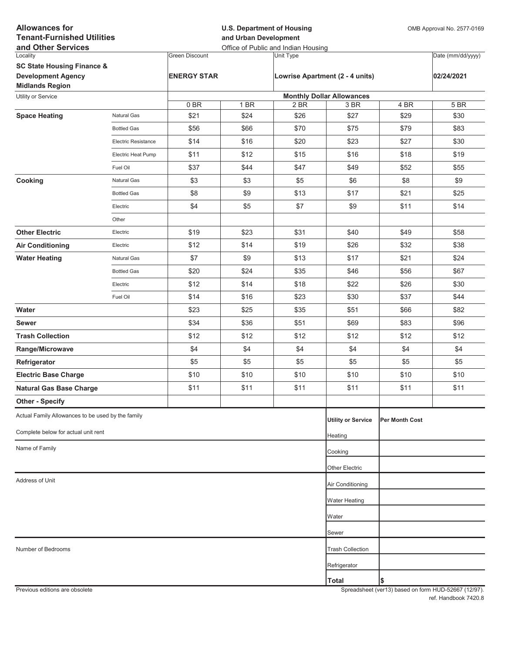| <b>Allowances for</b><br><b>Tenant-Furnished Utilities</b><br>and Other Services |                            |                       | <b>U.S. Department of Housing</b><br>and Urban Development<br>Office of Public and Indian Housing |           |                                  |                | OMB Approval No. 2577-0169 |  |
|----------------------------------------------------------------------------------|----------------------------|-----------------------|---------------------------------------------------------------------------------------------------|-----------|----------------------------------|----------------|----------------------------|--|
| Locality                                                                         |                            | <b>Green Discount</b> |                                                                                                   | Unit Type |                                  |                | Date (mm/dd/yyyy)          |  |
| <b>SC State Housing Finance &amp;</b>                                            |                            |                       |                                                                                                   |           |                                  |                |                            |  |
| <b>Development Agency</b><br><b>Midlands Region</b>                              |                            | <b>ENERGY STAR</b>    |                                                                                                   |           | Lowrise Apartment (2 - 4 units)  |                | 02/24/2021                 |  |
| Utility or Service                                                               |                            |                       |                                                                                                   |           | <b>Monthly Dollar Allowances</b> |                |                            |  |
|                                                                                  |                            | 0BR                   | 1 BR                                                                                              | 2 BR      | 3 BR                             | 4 BR           | 5 BR                       |  |
| <b>Space Heating</b>                                                             | Natural Gas                | \$21                  | \$24                                                                                              | \$26      | \$27                             | \$29           | \$30                       |  |
|                                                                                  | <b>Bottled Gas</b>         | \$56                  | \$66                                                                                              | \$70      | \$75                             | \$79           | \$83                       |  |
|                                                                                  | <b>Electric Resistance</b> | \$14                  | \$16                                                                                              | \$20      | \$23                             | \$27           | \$30                       |  |
|                                                                                  | Electric Heat Pump         | \$11                  | \$12                                                                                              | \$15      | \$16                             | \$18           | \$19                       |  |
|                                                                                  | Fuel Oil                   | \$37                  | \$44                                                                                              | \$47      | \$49                             | \$52           | \$55                       |  |
| Cooking                                                                          | Natural Gas                | \$3                   | \$3                                                                                               | \$5       | \$6                              | \$8            | \$9                        |  |
|                                                                                  | <b>Bottled Gas</b>         | \$8                   | \$9                                                                                               | \$13      | \$17                             | \$21           | \$25                       |  |
|                                                                                  | Electric                   | \$4                   | \$5                                                                                               | \$7       | \$9                              | \$11           | \$14                       |  |
|                                                                                  | Other                      |                       |                                                                                                   |           |                                  |                |                            |  |
| <b>Other Electric</b>                                                            | Electric                   | \$19                  | \$23                                                                                              | \$31      | \$40                             | \$49           | \$58                       |  |
| <b>Air Conditioning</b>                                                          | Electric                   | \$12                  | \$14                                                                                              | \$19      | \$26                             | \$32           | \$38                       |  |
| <b>Water Heating</b>                                                             | Natural Gas                | \$7                   | \$9                                                                                               | \$13      | \$17                             | \$21           | \$24                       |  |
|                                                                                  | <b>Bottled Gas</b>         | \$20                  | \$24                                                                                              | \$35      | \$46                             | \$56           | \$67                       |  |
|                                                                                  | Electric                   | \$12                  | \$14                                                                                              | \$18      | \$22                             | \$26           | \$30                       |  |
|                                                                                  | Fuel Oil                   | \$14                  | \$16                                                                                              | \$23      | \$30                             | \$37           | \$44                       |  |
| Water                                                                            |                            | \$23                  | \$25                                                                                              | \$35      | \$51                             | \$66           | \$82                       |  |
| <b>Sewer</b>                                                                     |                            | \$34                  | \$36                                                                                              | \$51      | \$69                             | \$83           | \$96                       |  |
| <b>Trash Collection</b>                                                          |                            | \$12                  | \$12                                                                                              | \$12      | \$12                             | \$12           | \$12                       |  |
| Range/Microwave                                                                  |                            | \$4                   | \$4                                                                                               | \$4       | \$4                              | \$4            | \$4                        |  |
| Refrigerator                                                                     |                            | \$5                   | \$5                                                                                               | \$5       | \$5                              | \$5            | \$5                        |  |
| <b>Electric Base Charge</b>                                                      |                            | \$10                  | \$10                                                                                              | \$10      | \$10                             | \$10           | \$10                       |  |
| <b>Natural Gas Base Charge</b>                                                   |                            | \$11                  | \$11                                                                                              | \$11      | \$11                             | \$11           | \$11                       |  |
| <b>Other - Specify</b>                                                           |                            |                       |                                                                                                   |           |                                  |                |                            |  |
| Actual Family Allowances to be used by the family                                |                            |                       |                                                                                                   |           | <b>Utility or Service</b>        | Per Month Cost |                            |  |
| Complete below for actual unit rent                                              |                            |                       |                                                                                                   |           | Heating                          |                |                            |  |
| Name of Family                                                                   |                            |                       |                                                                                                   |           | Cooking                          |                |                            |  |
|                                                                                  |                            |                       |                                                                                                   |           | Other Electric                   |                |                            |  |
| Address of Unit                                                                  |                            |                       |                                                                                                   |           | Air Conditioning                 |                |                            |  |
|                                                                                  |                            |                       |                                                                                                   |           | <b>Water Heating</b>             |                |                            |  |
|                                                                                  |                            |                       |                                                                                                   |           | Water                            |                |                            |  |
|                                                                                  |                            |                       |                                                                                                   |           | Sewer                            |                |                            |  |
| Number of Bedrooms                                                               |                            |                       |                                                                                                   |           | <b>Trash Collection</b>          |                |                            |  |
|                                                                                  |                            |                       |                                                                                                   |           | Refrigerator                     |                |                            |  |
|                                                                                  |                            |                       |                                                                                                   |           | <b>Total</b>                     | \$             |                            |  |
|                                                                                  |                            |                       |                                                                                                   |           |                                  |                |                            |  |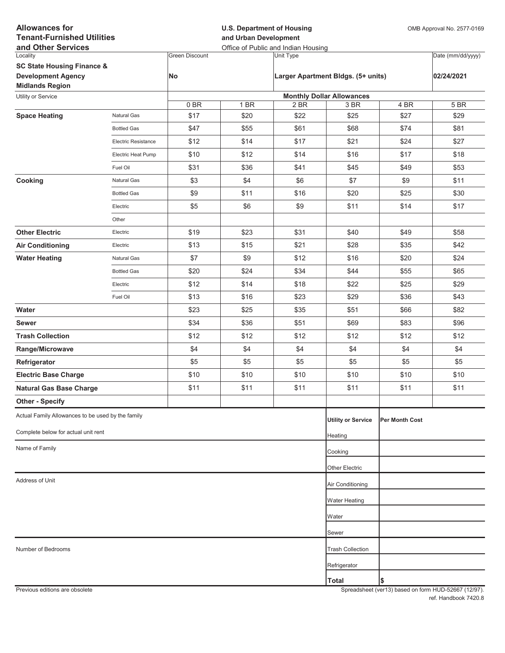| <b>Allowances for</b><br><b>Tenant-Furnished Utilities</b><br>and Other Services |                     |                       | <b>U.S. Department of Housing</b><br>and Urban Development<br>Office of Public and Indian Housing |                  |                                          |                | OMB Approval No. 2577-0169 |  |
|----------------------------------------------------------------------------------|---------------------|-----------------------|---------------------------------------------------------------------------------------------------|------------------|------------------------------------------|----------------|----------------------------|--|
| Locality                                                                         |                     | <b>Green Discount</b> |                                                                                                   | <b>Unit Type</b> |                                          |                | Date (mm/dd/yyyy)          |  |
| <b>SC State Housing Finance &amp;</b>                                            |                     |                       |                                                                                                   |                  |                                          |                |                            |  |
| <b>Development Agency</b>                                                        |                     | <b>No</b>             |                                                                                                   |                  | Larger Apartment Bldgs. (5+ units)       |                | 02/24/2021                 |  |
| <b>Midlands Region</b>                                                           |                     |                       |                                                                                                   |                  |                                          |                |                            |  |
| Utility or Service                                                               |                     | 0BR                   | 1 BR                                                                                              | 2 BR             | <b>Monthly Dollar Allowances</b><br>3 BR | 4 BR           | 5 BR                       |  |
| <b>Space Heating</b>                                                             | Natural Gas         | \$17                  | \$20                                                                                              | \$22             | \$25                                     | \$27           | \$29                       |  |
|                                                                                  | <b>Bottled Gas</b>  | \$47                  | \$55                                                                                              | \$61             | \$68                                     | \$74           | \$81                       |  |
|                                                                                  | Electric Resistance | \$12                  | \$14                                                                                              | \$17             | \$21                                     | \$24           | \$27                       |  |
|                                                                                  | Electric Heat Pump  | \$10                  | \$12                                                                                              | \$14             | \$16                                     | \$17           | \$18                       |  |
|                                                                                  | Fuel Oil            | \$31                  | \$36                                                                                              | \$41             | \$45                                     | \$49           | \$53                       |  |
| Cooking                                                                          | Natural Gas         | \$3                   | \$4                                                                                               | \$6              | \$7                                      | \$9            | \$11                       |  |
|                                                                                  | <b>Bottled Gas</b>  | \$9                   | \$11                                                                                              | \$16             | \$20                                     | \$25           | \$30                       |  |
|                                                                                  | Electric            | \$5                   | \$6                                                                                               | \$9              | \$11                                     | \$14           | \$17                       |  |
|                                                                                  | Other               |                       |                                                                                                   |                  |                                          |                |                            |  |
| <b>Other Electric</b>                                                            | Electric            | \$19                  | \$23                                                                                              | \$31             | \$40                                     | \$49           | \$58                       |  |
| <b>Air Conditioning</b>                                                          | Electric            | \$13                  | \$15                                                                                              | \$21             | \$28                                     | \$35           | \$42                       |  |
| <b>Water Heating</b>                                                             | Natural Gas         | \$7                   | \$9                                                                                               | \$12             | \$16                                     | \$20           | \$24                       |  |
|                                                                                  | <b>Bottled Gas</b>  | \$20                  | \$24                                                                                              | \$34             | \$44                                     | \$55           | \$65                       |  |
|                                                                                  | Electric            | \$12                  | \$14                                                                                              | \$18             | \$22                                     | \$25           | \$29                       |  |
|                                                                                  | Fuel Oil            | \$13                  | \$16                                                                                              | \$23             | \$29                                     | \$36           | \$43                       |  |
| Water                                                                            |                     | \$23                  | \$25                                                                                              | \$35             | \$51                                     | \$66           | \$82                       |  |
| <b>Sewer</b>                                                                     |                     | \$34                  | \$36                                                                                              | \$51             | \$69                                     | \$83           | \$96                       |  |
| <b>Trash Collection</b>                                                          |                     | \$12                  | \$12                                                                                              | \$12             | \$12                                     | \$12           | \$12                       |  |
| Range/Microwave                                                                  |                     | \$4                   | \$4                                                                                               | \$4              | \$4                                      | \$4            | \$4                        |  |
| Refrigerator                                                                     |                     | \$5                   | \$5                                                                                               | \$5              | \$5                                      | \$5            | \$5                        |  |
| <b>Electric Base Charge</b>                                                      |                     | \$10                  | \$10                                                                                              | \$10             | \$10                                     | \$10           | \$10                       |  |
| <b>Natural Gas Base Charge</b>                                                   |                     | \$11                  | \$11                                                                                              | \$11             | \$11                                     | \$11           | \$11                       |  |
| <b>Other - Specify</b>                                                           |                     |                       |                                                                                                   |                  |                                          |                |                            |  |
| Actual Family Allowances to be used by the family                                |                     |                       |                                                                                                   |                  | <b>Utility or Service</b>                | Per Month Cost |                            |  |
| Complete below for actual unit rent                                              |                     |                       |                                                                                                   |                  | Heating                                  |                |                            |  |
| Name of Family                                                                   |                     |                       |                                                                                                   |                  | Cooking                                  |                |                            |  |
|                                                                                  |                     |                       |                                                                                                   |                  |                                          |                |                            |  |
| Address of Unit                                                                  |                     |                       |                                                                                                   |                  | Other Electric                           |                |                            |  |
|                                                                                  |                     |                       |                                                                                                   |                  | Air Conditioning                         |                |                            |  |
|                                                                                  |                     |                       |                                                                                                   |                  | <b>Water Heating</b>                     |                |                            |  |
|                                                                                  |                     |                       |                                                                                                   |                  | Water                                    |                |                            |  |
|                                                                                  |                     |                       |                                                                                                   |                  | Sewer                                    |                |                            |  |
| Number of Bedrooms                                                               |                     |                       |                                                                                                   |                  | <b>Trash Collection</b>                  |                |                            |  |
|                                                                                  |                     |                       |                                                                                                   |                  | Refrigerator                             |                |                            |  |
|                                                                                  |                     |                       |                                                                                                   |                  | <b>Total</b>                             | \$             |                            |  |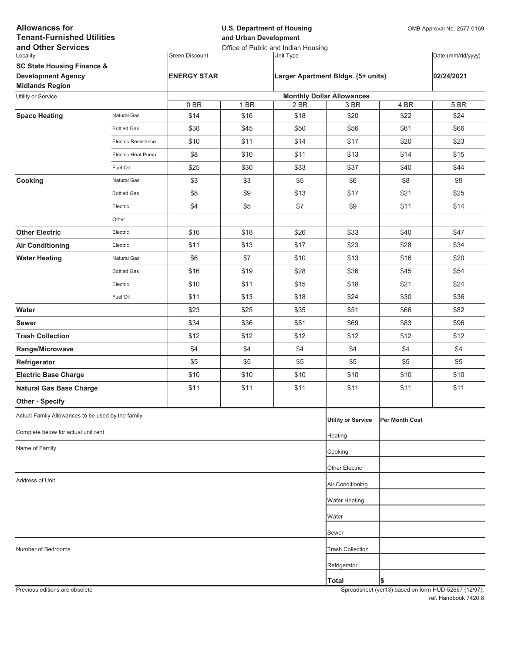| <b>Allowances for</b><br><b>Tenant-Furnished Utilities</b><br>and Other Services |                            |                       | <b>U.S. Department of Housing</b><br>and Urban Development<br>Office of Public and Indian Housing |           |                                    |                       | OMB Approval No. 2577-0169 |  |
|----------------------------------------------------------------------------------|----------------------------|-----------------------|---------------------------------------------------------------------------------------------------|-----------|------------------------------------|-----------------------|----------------------------|--|
| Locality                                                                         |                            | <b>Green Discount</b> |                                                                                                   | Unit Type |                                    |                       | Date (mm/dd/yyyy)          |  |
| <b>SC State Housing Finance &amp;</b>                                            |                            |                       |                                                                                                   |           |                                    |                       |                            |  |
| <b>Development Agency</b>                                                        |                            | <b>ENERGY STAR</b>    |                                                                                                   |           | Larger Apartment Bldgs. (5+ units) |                       | 02/24/2021                 |  |
| <b>Midlands Region</b><br>Utility or Service                                     |                            |                       |                                                                                                   |           | <b>Monthly Dollar Allowances</b>   |                       |                            |  |
|                                                                                  |                            | 0BR                   | 1 BR                                                                                              | 2 BR      | 3 BR                               | 4 BR                  | 5 BR                       |  |
| <b>Space Heating</b>                                                             | <b>Natural Gas</b>         | \$14                  | \$16                                                                                              | \$18      | \$20                               | \$22                  | \$24                       |  |
|                                                                                  | <b>Bottled Gas</b>         | \$38                  | \$45                                                                                              | \$50      | \$56                               | \$61                  | \$66                       |  |
|                                                                                  | <b>Electric Resistance</b> | \$10                  | \$11                                                                                              | \$14      | \$17                               | \$20                  | \$23                       |  |
|                                                                                  | Electric Heat Pump         | \$8                   | \$10                                                                                              | \$11      | \$13                               | \$14                  | \$15                       |  |
|                                                                                  | Fuel Oil                   | \$25                  | \$30                                                                                              | \$33      | \$37                               | \$40                  | \$44                       |  |
| Cooking                                                                          | <b>Natural Gas</b>         | \$3                   | \$3                                                                                               | \$5       | \$6                                | \$8                   | \$9                        |  |
|                                                                                  | <b>Bottled Gas</b>         | \$8                   | \$9                                                                                               | \$13      | \$17                               | \$21                  | \$25                       |  |
|                                                                                  | Electric                   | \$4                   | \$5                                                                                               | \$7       | \$9                                | \$11                  | \$14                       |  |
|                                                                                  | Other                      |                       |                                                                                                   |           |                                    |                       |                            |  |
| <b>Other Electric</b>                                                            | Electric                   | \$16                  | \$18                                                                                              | \$26      | \$33                               | \$40                  | \$47                       |  |
| <b>Air Conditioning</b>                                                          | Electric                   | \$11                  | \$13                                                                                              | \$17      | \$23                               | \$28                  | \$34                       |  |
| <b>Water Heating</b>                                                             | <b>Natural Gas</b>         | \$6                   | \$7                                                                                               | \$10      | \$13                               | \$16                  | \$20                       |  |
|                                                                                  | <b>Bottled Gas</b>         | \$16                  | \$19                                                                                              | \$28      | \$36                               | \$45                  | \$54                       |  |
|                                                                                  | Electric                   | \$10                  | \$11                                                                                              | \$15      | \$18                               | \$21                  | \$24                       |  |
|                                                                                  | Fuel Oil                   | \$11                  | \$13                                                                                              | \$18      | \$24                               | \$30                  | \$36                       |  |
| Water                                                                            |                            | \$23                  | \$25                                                                                              | \$35      | \$51                               | \$66                  | \$82                       |  |
| <b>Sewer</b>                                                                     |                            | \$34                  | \$36                                                                                              | \$51      | \$69                               | \$83                  | \$96                       |  |
| <b>Trash Collection</b>                                                          |                            | \$12                  | \$12                                                                                              | \$12      | \$12                               | \$12                  | \$12                       |  |
| Range/Microwave                                                                  |                            | \$4                   | \$4                                                                                               | \$4       | \$4                                | \$4                   | \$4                        |  |
| Refrigerator                                                                     |                            | \$5                   | \$5                                                                                               | \$5       | \$5                                | \$5                   | \$5                        |  |
| <b>Electric Base Charge</b>                                                      |                            | \$10                  | \$10                                                                                              | \$10      | \$10                               | \$10                  | \$10                       |  |
| <b>Natural Gas Base Charge</b>                                                   |                            | \$11                  | \$11                                                                                              | \$11      | \$11                               | \$11                  | \$11                       |  |
| <b>Other - Specify</b>                                                           |                            |                       |                                                                                                   |           |                                    |                       |                            |  |
| Actual Family Allowances to be used by the family                                |                            |                       |                                                                                                   |           | <b>Utility or Service</b>          | <b>Per Month Cost</b> |                            |  |
| Complete below for actual unit rent                                              |                            |                       |                                                                                                   |           | Heating                            |                       |                            |  |
| Name of Family                                                                   |                            |                       |                                                                                                   |           | Cooking                            |                       |                            |  |
|                                                                                  |                            |                       |                                                                                                   |           | Other Electric                     |                       |                            |  |
| Address of Unit                                                                  |                            |                       |                                                                                                   |           |                                    |                       |                            |  |
|                                                                                  |                            |                       |                                                                                                   |           | Air Conditioning                   |                       |                            |  |
|                                                                                  |                            |                       |                                                                                                   |           | <b>Water Heating</b>               |                       |                            |  |
|                                                                                  |                            |                       |                                                                                                   |           | Water                              |                       |                            |  |
|                                                                                  |                            |                       |                                                                                                   |           | Sewer                              |                       |                            |  |
| Number of Bedrooms                                                               |                            |                       |                                                                                                   |           | <b>Trash Collection</b>            |                       |                            |  |
|                                                                                  |                            |                       |                                                                                                   |           | Refrigerator                       |                       |                            |  |
|                                                                                  |                            |                       |                                                                                                   |           | <b>Total</b>                       | I\$                   |                            |  |